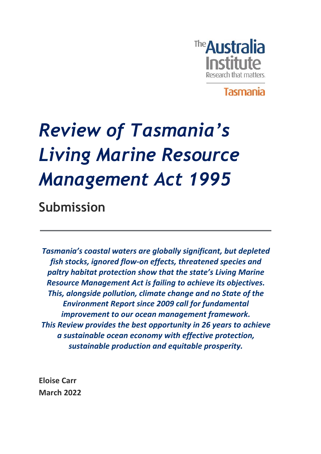

**Tasmania** 

# *Review of Tasmania's Living Marine Resource Management Act 1995*

**Submission**

*Tasmania's coastal waters are globally significant, but depleted fish stocks, ignored flow-on effects, threatened species and paltry habitat protection show that the state's Living Marine Resource Management Act is failing to achieve its objectives. This, alongside pollution, climate change and no State of the Environment Report since 2009 call for fundamental improvement to our ocean management framework. This Review provides the best opportunity in 26 years to achieve a sustainable ocean economy with effective protection, sustainable production and equitable prosperity.* 

**Eloise Carr March 2022**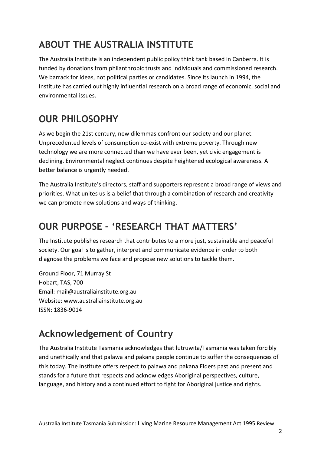### **ABOUT THE AUSTRALIA INSTITUTE**

The Australia Institute is an independent public policy think tank based in Canberra. It is funded by donations from philanthropic trusts and individuals and commissioned research. We barrack for ideas, not political parties or candidates. Since its launch in 1994, the Institute has carried out highly influential research on a broad range of economic, social and environmental issues.

### **OUR PHILOSOPHY**

As we begin the 21st century, new dilemmas confront our society and our planet. Unprecedented levels of consumption co-exist with extreme poverty. Through new technology we are more connected than we have ever been, yet civic engagement is declining. Environmental neglect continues despite heightened ecological awareness. A better balance is urgently needed.

The Australia Institute's directors, staff and supporters represent a broad range of views and priorities. What unites us is a belief that through a combination of research and creativity we can promote new solutions and ways of thinking.

### **OUR PURPOSE – 'RESEARCH THAT MATTERS'**

The Institute publishes research that contributes to a more just, sustainable and peaceful society. Our goal is to gather, interpret and communicate evidence in order to both diagnose the problems we face and propose new solutions to tackle them.

Ground Floor, 71 Murray St Hobart, TAS, 700 Email: mail@australiainstitute.org.au Website: www.australiainstitute.org.au ISSN: 1836-9014

### **Acknowledgement of Country**

The Australia Institute Tasmania acknowledges that lutruwita/Tasmania was taken forcibly and unethically and that palawa and pakana people continue to suffer the consequences of this today. The Institute offers respect to palawa and pakana Elders past and present and stands for a future that respects and acknowledges Aboriginal perspectives, culture, language, and history and a continued effort to fight for Aboriginal justice and rights.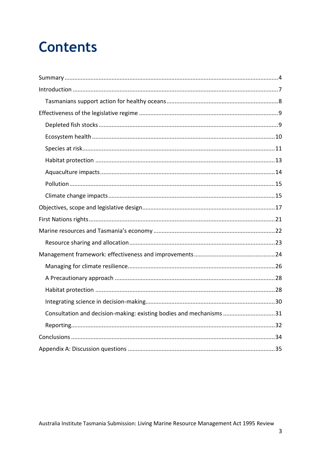## **Contents**

| Consultation and decision-making: existing bodies and mechanisms 31 |  |
|---------------------------------------------------------------------|--|
|                                                                     |  |
|                                                                     |  |
|                                                                     |  |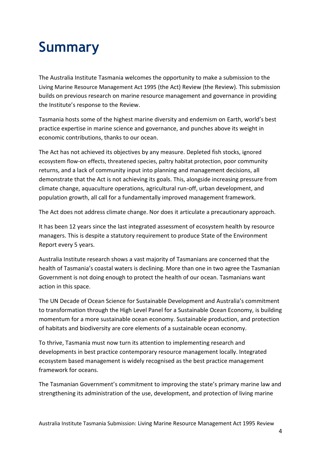## <span id="page-3-0"></span>**Summary**

The Australia Institute Tasmania welcomes the opportunity to make a submission to the Living Marine Resource Management Act 1995 (the Act) Review (the Review). This submission builds on previous research on marine resource management and governance in providing the Institute's response to the Review.

Tasmania hosts some of the highest marine diversity and endemism on Earth, world's best practice expertise in marine science and governance, and punches above its weight in economic contributions, thanks to our ocean.

The Act has not achieved its objectives by any measure. Depleted fish stocks, ignored ecosystem flow-on effects, threatened species, paltry habitat protection, poor community returns, and a lack of community input into planning and management decisions, all demonstrate that the Act is not achieving its goals. This, alongside increasing pressure from climate change, aquaculture operations, agricultural run-off, urban development, and population growth, all call for a fundamentally improved management framework.

The Act does not address climate change. Nor does it articulate a precautionary approach.

It has been 12 years since the last integrated assessment of ecosystem health by resource managers. This is despite a statutory requirement to produce State of the Environment Report every 5 years.

Australia Institute research shows a vast majority of Tasmanians are concerned that the health of Tasmania's coastal waters is declining. More than one in two agree the Tasmanian Government is not doing enough to protect the health of our ocean. Tasmanians want action in this space.

The UN Decade of Ocean Science for Sustainable Development and Australia's commitment to transformation through the High Level Panel for a Sustainable Ocean Economy, is building momentum for a more sustainable ocean economy. Sustainable production, and protection of habitats and biodiversity are core elements of a sustainable ocean economy.

To thrive, Tasmania must now turn its attention to implementing research and developments in best practice contemporary resource management locally. Integrated ecosystem based management is widely recognised as the best practice management framework for oceans.

The Tasmanian Government's commitment to improving the state's primary marine law and strengthening its administration of the use, development, and protection of living marine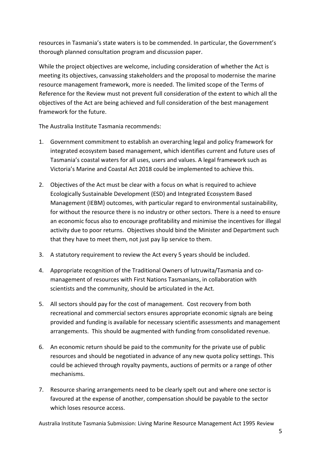resources in Tasmania's state waters is to be commended. In particular, the Government's thorough planned consultation program and discussion paper.

While the project objectives are welcome, including consideration of whether the Act is meeting its objectives, canvassing stakeholders and the proposal to modernise the marine resource management framework, more is needed. The limited scope of the Terms of Reference for the Review must not prevent full consideration of the extent to which all the objectives of the Act are being achieved and full consideration of the best management framework for the future.

The Australia Institute Tasmania recommends:

- 1. Government commitment to establish an overarching legal and policy framework for integrated ecosystem based management, which identifies current and future uses of Tasmania's coastal waters for all uses, users and values. A legal framework such as Victoria's Marine and Coastal Act 2018 could be implemented to achieve this.
- 2. Objectives of the Act must be clear with a focus on what is required to achieve Ecologically Sustainable Development (ESD) and Integrated Ecosystem Based Management (IEBM) outcomes, with particular regard to environmental sustainability, for without the resource there is no industry or other sectors. There is a need to ensure an economic focus also to encourage profitability and minimise the incentives for illegal activity due to poor returns. Objectives should bind the Minister and Department such that they have to meet them, not just pay lip service to them.
- 3. A statutory requirement to review the Act every 5 years should be included.
- 4. Appropriate recognition of the Traditional Owners of lutruwita/Tasmania and comanagement of resources with First Nations Tasmanians, in collaboration with scientists and the community, should be articulated in the Act.
- 5. All sectors should pay for the cost of management. Cost recovery from both recreational and commercial sectors ensures appropriate economic signals are being provided and funding is available for necessary scientific assessments and management arrangements. This should be augmented with funding from consolidated revenue.
- 6. An economic return should be paid to the community for the private use of public resources and should be negotiated in advance of any new quota policy settings. This could be achieved through royalty payments, auctions of permits or a range of other mechanisms.
- 7. Resource sharing arrangements need to be clearly spelt out and where one sector is favoured at the expense of another, compensation should be payable to the sector which loses resource access.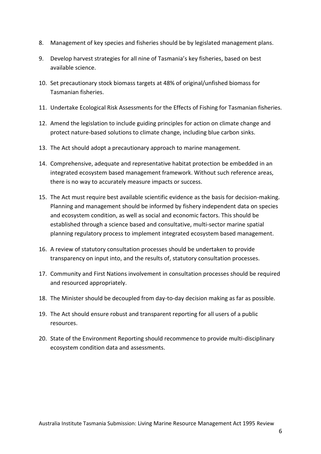- 8. Management of key species and fisheries should be by legislated management plans.
- 9. Develop harvest strategies for all nine of Tasmania's key fisheries, based on best available science.
- 10. Set precautionary stock biomass targets at 48% of original/unfished biomass for Tasmanian fisheries.
- 11. Undertake Ecological Risk Assessments for the Effects of Fishing for Tasmanian fisheries.
- 12. Amend the legislation to include guiding principles for action on climate change and protect nature-based solutions to climate change, including blue carbon sinks.
- 13. The Act should adopt a precautionary approach to marine management.
- 14. Comprehensive, adequate and representative habitat protection be embedded in an integrated ecosystem based management framework. Without such reference areas, there is no way to accurately measure impacts or success.
- 15. The Act must require best available scientific evidence as the basis for decision-making. Planning and management should be informed by fishery independent data on species and ecosystem condition, as well as social and economic factors. This should be established through a science based and consultative, multi-sector marine spatial planning regulatory process to implement integrated ecosystem based management.
- 16. A review of statutory consultation processes should be undertaken to provide transparency on input into, and the results of, statutory consultation processes.
- 17. Community and First Nations involvement in consultation processes should be required and resourced appropriately.
- 18. The Minister should be decoupled from day-to-day decision making as far as possible.
- 19. The Act should ensure robust and transparent reporting for all users of a public resources.
- 20. State of the Environment Reporting should recommence to provide multi-disciplinary ecosystem condition data and assessments.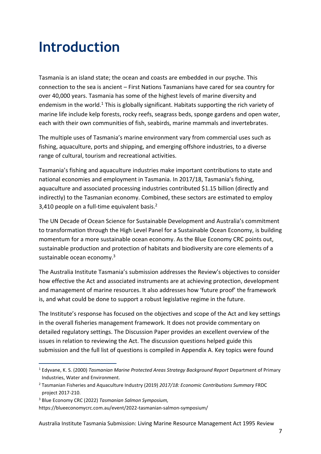## <span id="page-6-0"></span>**Introduction**

Tasmania is an island state; the ocean and coasts are embedded in our psyche. This connection to the sea is ancient – First Nations Tasmanians have cared for sea country for over 40,000 years. Tasmania has some of the highest levels of marine diversity and endemism in the world.<sup>1</sup> This is globally significant. Habitats supporting the rich variety of marine life include kelp forests, rocky reefs, seagrass beds, sponge gardens and open water, each with their own communities of fish, seabirds, marine mammals and invertebrates.

The multiple uses of Tasmania's marine environment vary from commercial uses such as fishing, aquaculture, ports and shipping, and emerging offshore industries, to a diverse range of cultural, tourism and recreational activities.

Tasmania's fishing and aquaculture industries make important contributions to state and national economies and employment in Tasmania. In 2017/18, Tasmania's fishing, aquaculture and associated processing industries contributed \$1.15 billion (directly and indirectly) to the Tasmanian economy. Combined, these sectors are estimated to employ 3,410 people on a full-time equivalent basis. 2

The UN Decade of Ocean Science for Sustainable Development and Australia's commitment to transformation through the High Level Panel for a Sustainable Ocean Economy, is building momentum for a more sustainable ocean economy. As the Blue Economy CRC points out, sustainable production and protection of habitats and biodiversity are core elements of a sustainable ocean economy.<sup>3</sup>

The Australia Institute Tasmania's submission addresses the Review's objectives to consider how effective the Act and associated instruments are at achieving protection, development and management of marine resources. It also addresses how 'future proof' the framework is, and what could be done to support a robust legislative regime in the future.

The Institute's response has focused on the objectives and scope of the Act and key settings in the overall fisheries management framework. It does not provide commentary on detailed regulatory settings. The Discussion Paper provides an excellent overview of the issues in relation to reviewing the Act. The discussion questions helped guide this submission and the full list of questions is compiled in Appendix A. Key topics were found

<sup>1</sup> Edyvane, K. S. (2000) *Tasmanian Marine Protected Areas Strategy Background Report* Department of Primary Industries, Water and Environment.

<sup>2</sup> Tasmanian Fisheries and Aquaculture Industry (2019) *2017/18: Economic Contributions Summary* FRDC project 2017-210.

<sup>3</sup> Blue Economy CRC (2022) *Tasmanian Salmon Symposium,* 

<https://blueeconomycrc.com.au/event/2022-tasmanian-salmon-symposium/>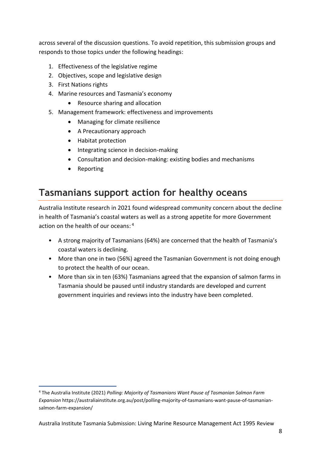across several of the discussion questions. To avoid repetition, this submission groups and responds to those topics under the following headings:

- 1. Effectiveness of the legislative regime
- 2. Objectives, scope and legislative design
- 3. First Nations rights
- 4. Marine resources and Tasmania's economy
	- Resource sharing and allocation
- 5. Management framework: effectiveness and improvements
	- Managing for climate resilience
	- A Precautionary approach
	- Habitat protection
	- Integrating science in decision-making
	- Consultation and decision-making: existing bodies and mechanisms
	- Reporting

### <span id="page-7-0"></span>**Tasmanians support action for healthy oceans**

Australia Institute research in 2021 found widespread community concern about the decline in health of Tasmania's coastal waters as well as a strong appetite for more Government action on the health of our oceans: 4

- A strong majority of Tasmanians (64%) are concerned that the health of Tasmania's coastal waters is declining.
- More than one in two (56%) agreed the Tasmanian Government is not doing enough to protect the health of our ocean.
- More than six in ten (63%) Tasmanians agreed that the expansion of salmon farms in Tasmania should be paused until industry standards are developed and current government inquiries and reviews into the industry have been completed.

<sup>4</sup> The Australia Institute (2021) *Polling: Majority of Tasmanians Want Pause of Tasmanian Salmon Farm Expansion* https://australiainstitute.org.au/post/polling-majority-of-tasmanians-want-pause-of-tasmaniansalmon-farm-expansion/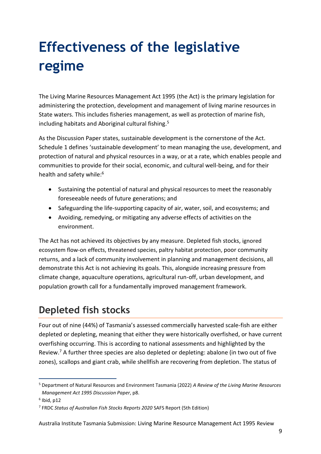## <span id="page-8-0"></span>**Effectiveness of the legislative regime**

The Living Marine Resources Management Act 1995 (the Act) is the primary legislation for administering the protection, development and management of living marine resources in State waters. This includes fisheries management, as well as protection of marine fish, including habitats and Aboriginal cultural fishing.<sup>5</sup>

As the Discussion Paper states, sustainable development is the cornerstone of the Act. Schedule 1 defines 'sustainable development' to mean managing the use, development, and protection of natural and physical resources in a way, or at a rate, which enables people and communities to provide for their social, economic, and cultural well-being, and for their health and safety while:<sup>6</sup>

- Sustaining the potential of natural and physical resources to meet the reasonably foreseeable needs of future generations; and
- Safeguarding the life-supporting capacity of air, water, soil, and ecosystems; and
- Avoiding, remedying, or mitigating any adverse effects of activities on the environment.

The Act has not achieved its objectives by any measure. Depleted fish stocks, ignored ecosystem flow-on effects, threatened species, paltry habitat protection, poor community returns, and a lack of community involvement in planning and management decisions, all demonstrate this Act is not achieving its goals. This, alongside increasing pressure from climate change, aquaculture operations, agricultural run-off, urban development, and population growth call for a fundamentally improved management framework.

### <span id="page-8-1"></span>**Depleted fish stocks**

Four out of nine (44%) of Tasmania's assessed commercially harvested scale-fish are either depleted or depleting, meaning that either they were historically overfished, or have current overfishing occurring. This is according to national assessments and highlighted by the Review.<sup>7</sup> A further three species are also depleted or depleting: abalone (in two out of five zones), scallops and giant crab, while shellfish are recovering from depletion. The status of

<sup>5</sup> Department of Natural Resources and Environment Tasmania (2022) *A Review of the Living Marine Resources Management Act 1995 Discussion Paper*, p8.

 $6$  Ibid, p12

<sup>7</sup> FRDC *Status of Australian Fish Stocks Reports 2020* SAFS Report (5th Edition)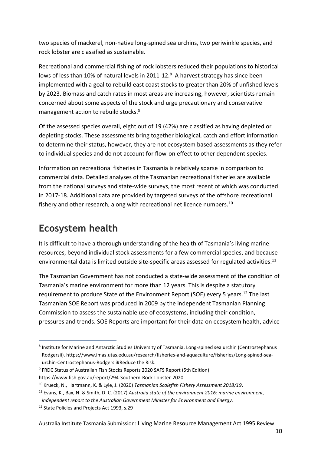two species of mackerel, non-native long-spined sea urchins, two periwinkle species, and rock lobster are classified as sustainable.

Recreational and commercial fishing of rock lobsters reduced their populations to historical lows of less than 10% of natural levels in 2011-12.<sup>8</sup> A harvest strategy has since been implemented with a goal to rebuild east coast stocks to greater than 20% of unfished levels by 2023. Biomass and catch rates in most areas are increasing, however, scientists remain concerned about some aspects of the stock and urge precautionary and conservative management action to rebuild stocks.<sup>9</sup>

Of the assessed species overall, eight out of 19 (42%) are classified as having depleted or depleting stocks. These assessments bring together biological, catch and effort information to determine their status, however, they are not ecosystem based assessments as they refer to individual species and do not account for flow-on effect to other dependent species.

Information on recreational fisheries in Tasmania is relatively sparse in comparison to commercial data. Detailed analyses of the Tasmanian recreational fisheries are available from the national surveys and state-wide surveys, the most recent of which was conducted in 2017-18. Additional data are provided by targeted surveys of the offshore recreational fishery and other research, along with recreational net licence numbers.<sup>10</sup>

### <span id="page-9-0"></span>**Ecosystem health**

It is difficult to have a thorough understanding of the health of Tasmania's living marine resources, beyond individual stock assessments for a few commercial species, and because environmental data is limited outside site-specific areas assessed for regulated activities.<sup>11</sup>

The Tasmanian Government has not conducted a state-wide assessment of the condition of Tasmania's marine environment for more than 12 years. This is despite a statutory requirement to produce State of the Environment Report (SOE) every 5 years.<sup>12</sup> The last Tasmanian SOE Report was produced in 2009 by the independent Tasmanian Planning Commission to assess the sustainable use of ecosystems, including their condition, pressures and trends. SOE Reports are important for their data on ecosystem health, advice

<sup>&</sup>lt;sup>8</sup> Institute for Marine and Antarctic Studies University of Tasmania. Long-spined sea urchin (Centrostephanus Rodgersii). https://www.imas.utas.edu.au/research/fisheries-and-aquaculture/fisheries/Long-spined-seaurchin-Centrostephanus-Rodgersii#Reduce the Risk.

<sup>&</sup>lt;sup>9</sup> FRDC Status of Australian Fish Stocks Reports 2020 SAFS Report (5th Edition)

<https://www.fish.gov.au/report/294-Southern-Rock-Lobster-2020>

<sup>10</sup> Krueck, N., Hartmann, K. & Lyle, J. (2020) *Tasmanian Scalefish Fishery Assessment 2018/19*.

<sup>11</sup> Evans, K., Bax, N. & Smith, D. C. (2017) *Australia state of the environment 2016: marine environment,* 

*independent report to the Australian Government Minister for Environment and Energy.* 

<sup>12</sup> [State Policies and Projects Act 1993,](https://www.legislation.tas.gov.au/view/html/inforce/current/act-1993-065) s.29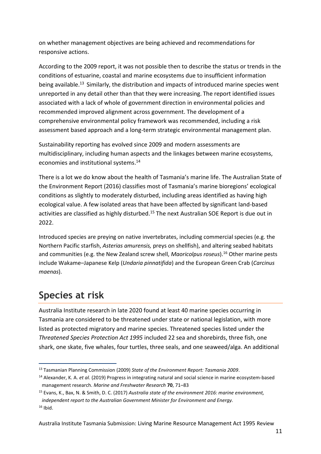on whether management objectives are being achieved and recommendations for responsive actions.

According to the 2009 report, it was not possible then to describe the status or trends in the conditions of estuarine, coastal and marine ecosystems due to insufficient information being available.<sup>13</sup> Similarly, the distribution and impacts of introduced marine species went unreported in any detail other than that they were increasing. The report identified issues associated with a lack of whole of government direction in environmental policies and recommended improved alignment across government. The development of a comprehensive environmental policy framework was recommended, including a risk assessment based approach and a long-term strategic environmental management plan.

Sustainability reporting has evolved since 2009 and modern assessments are multidisciplinary, including human aspects and the linkages between marine ecosystems, economies and institutional systems. 14

There is a lot we do know about the health of Tasmania's marine life. The Australian State of the Environment Report (2016) classifies most of Tasmania's marine bioregions' ecological conditions as slightly to moderately disturbed, including areas identified as having high ecological value. A few isolated areas that have been affected by significant land-based activities are classified as highly disturbed.<sup>15</sup> The next Australian SOE Report is due out in 2022.

Introduced species are preying on native invertebrates, including commercial species (e.g. the Northern Pacific starfish, *Asterias amurensis,* preys on shellfish), and altering seabed habitats and communities (e.g. the New Zealand screw shell, *Maoricolpus roseus*).<sup>16</sup> Other marine pests include Wakame–Japanese Kelp (*Undaria pinnatifida*) and the European Green Crab (*Carcinus maenas*).

### <span id="page-10-0"></span>**Species at risk**

Australia Institute research in late 2020 found at least 40 marine species occurring in Tasmania are considered to be threatened under state or national legislation, with more listed as protected migratory and marine species. Threatened species listed under the *Threatened Species Protection Act 1995* included 22 sea and shorebirds, three fish, one shark, one skate, five whales, four turtles, three seals, and one seaweed/alga. An additional

<sup>13</sup> Tasmanian Planning Commission (2009) *State of the Environment Report: Tasmania 2009*.

<sup>14</sup> Alexander, K. A. *et al.* (2019) Progress in integrating natural and social science in marine ecosystem-based management research. *Marine and Freshwater Research* **70**, 71–83

<sup>15</sup> Evans, K., Bax, N. & Smith, D. C. (2017) *Australia state of the environment 2016: marine environment, independent report to the Australian Government Minister for Environment and Energy.*   $16$  Ibid.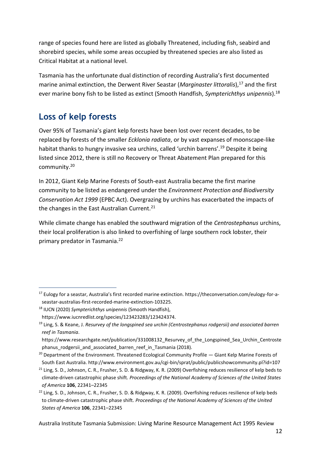range of species found here are listed as globally Threatened, including fish, seabird and shorebird species, while some areas occupied by threatened species are also listed as Critical Habitat at a national level.

Tasmania has the unfortunate dual distinction of recording Australia's first documented marine animal extinction, the Derwent River Seastar (*Marginaster littoralis*),<sup>17</sup> and the first ever marine bony fish to be listed as extinct (Smooth Handfish, *Sympterichthys unipennis*).<sup>18</sup>

### **Loss of kelp forests**

Over 95% of Tasmania's giant kelp forests have been lost over recent decades, to be replaced by forests of the smaller *Ecklonia radiata*, or by vast expanses of moonscape-like habitat thanks to hungry invasive sea urchins, called 'urchin barrens'.<sup>19</sup> Despite it being listed since 2012, there is still no Recovery or Threat Abatement Plan prepared for this community. 20

In 2012, Giant Kelp Marine Forests of South-east Australia became the first marine community to be listed as endangered under the *Environment Protection and Biodiversity Conservation Act 1999* (EPBC Act). Overgrazing by urchins has exacerbated the impacts of the changes in the East Australian Current.<sup>21</sup>

While climate change has enabled the southward migration of the *Centrostephanus* urchins, their local proliferation is also linked to overfishing of large southern rock lobster, their primary predator in Tasmania.<sup>22</sup>

<sup>17</sup> Eulogy for a seastar, Australia's first recorded marine extinction. https://theconversation.com/eulogy-for-aseastar-australias-first-recorded-marine-extinction-103225.

<sup>18</sup> IUCN (2020) *Sympterichthys unipennis* (Smooth Handfish),

https://www.iucnredlist.org/species/123423283/123424374.

<sup>19</sup> Ling, S. & Keane, J. *Resurvey of the longspined sea urchin (Centrostephanus rodgersii) and associated barren reef in Tasmania*.

https://www.researchgate.net/publication/331008132 Resurvey of the Longspined Sea Urchin Centroste phanus rodgersii and associated barren reef in Tasmania (2018).

<sup>&</sup>lt;sup>20</sup> Department of the Environment. Threatened Ecological Community Profile — Giant Kelp Marine Forests of South East Australia[. http://www.environment.gov.au/cgi-bin/sprat/public/publicshowcommunity.pl?id=107](http://www.environment.gov.au/cgi-bin/sprat/public/publicshowcommunity.pl?id=107)

 $21$  Ling, S. D., Johnson, C. R., Frusher, S. D. & Ridgway, K. R. (2009) Overfishing reduces resilience of kelp beds to climate-driven catastrophic phase shift. *Proceedings of the National Academy of Sciences of the United States of America* **106**, 22341–22345

<sup>&</sup>lt;sup>22</sup> Ling, S. D., Johnson, C. R., Frusher, S. D. & Ridgway, K. R. (2009). Overfishing reduces resilience of kelp beds to climate-driven catastrophic phase shift. *Proceedings of the National Academy of Sciences of the United States of America* **106**, 22341–22345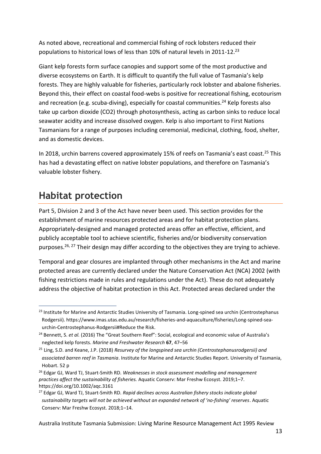As noted above, recreational and commercial fishing of rock lobsters reduced their populations to historical lows of less than 10% of natural levels in 2011-12.<sup>23</sup>

Giant kelp forests form surface canopies and support some of the most productive and diverse ecosystems on Earth. It is difficult to quantify the full value of Tasmania's kelp forests. They are highly valuable for fisheries, particularly rock lobster and abalone fisheries. Beyond this, their effect on coastal food-webs is positive for recreational fishing, ecotourism and recreation (e.g. scuba-diving), especially for coastal communities.<sup>24</sup> Kelp forests also take up carbon dioxide (CO2) through photosynthesis, acting as carbon sinks to reduce local seawater acidity and increase dissolved oxygen. Kelp is also important to First Nations Tasmanians for a range of purposes including ceremonial, medicinal, clothing, food, shelter, and as domestic devices.

In 2018, urchin barrens covered approximately 15% of reefs on Tasmania's east coast.<sup>25</sup> This has had a devastating effect on native lobster populations, and therefore on Tasmania's valuable lobster fishery.

### <span id="page-12-0"></span>**Habitat protection**

Part 5, Division 2 and 3 of the Act have never been used. This section provides for the establishment of marine resources protected areas and for habitat protection plans. Appropriately-designed and managed protected areas offer an effective, efficient, and publicly acceptable tool to achieve scientific, fisheries and/or biodiversity conservation purposes.<sup>26, 27</sup> Their design may differ according to the objectives they are trying to achieve.

Temporal and gear closures are implanted through other mechanisms in the Act and marine protected areas are currently declared under the Nature Conservation Act (NCA) 2002 (with fishing restrictions made in rules and regulations under the Act). These do not adequately address the objective of habitat protection in this Act. Protected areas declared under the

<sup>&</sup>lt;sup>23</sup> Institute for Marine and Antarctic Studies University of Tasmania. Long-spined sea urchin (Centrostephanus Rodgersii). https://www.imas.utas.edu.au/research/fisheries-and-aquaculture/fisheries/Long-spined-seaurchin-Centrostephanus-Rodgersii#Reduce the Risk.

<sup>&</sup>lt;sup>24</sup> Bennett, S. *et al.* (2016) The "Great Southern Reef": Social, ecological and economic value of Australia's neglected kelp forests. *Marine and Freshwater Research* **67**, 47–56

<sup>25</sup> Ling, S.D. and Keane, J.P. (2018) *Resurvey of the longspined sea urchin (Centrostephanusrodgersii) and associated barren reef in Tasmania*. Institute for Marine and Antarctic Studies Report. University of Tasmania, Hobart. 52 p

<sup>26</sup> Edgar GJ, Ward TJ, Stuart‐Smith RD. *Weaknesses in stock assessment modelling and management practices affect the sustainability of fisheries.* Aquatic Conserv: Mar Freshw Ecosyst. 2019;1–7. https://doi.org/10.1002/aqc.3161

<sup>27</sup> Edgar GJ, Ward TJ, Stuart‐Smith RD. *Rapid declines across Australian fishery stocks indicate global sustainability targets will not be achieved without an expanded network of 'no‐fishing' reserves*. Aquatic Conserv: Mar Freshw Ecosyst. 2018;1–14.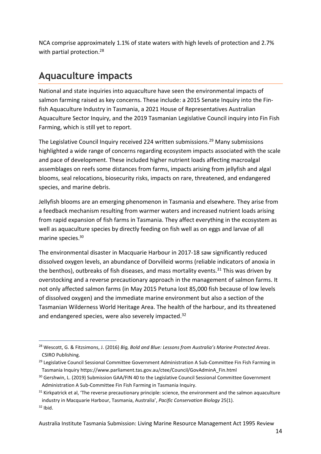NCA comprise approximately 1.1% of state waters with high levels of protection and 2.7% with partial protection. 28

### <span id="page-13-0"></span>**Aquaculture impacts**

National and state inquiries into aquaculture have seen the environmental impacts of salmon farming raised as key concerns. These include: a 2015 Senate Inquiry into the Finfish Aquaculture Industry in Tasmania, a 2021 House of Representatives Australian Aquaculture Sector Inquiry, and the 2019 Tasmanian Legislative Council inquiry into Fin Fish Farming, which is still yet to report.

The Legislative Council Inquiry received 224 written submissions. <sup>29</sup> Many submissions highlighted a wide range of concerns regarding ecosystem impacts associated with the scale and pace of development. These included higher nutrient loads affecting macroalgal assemblages on reefs some distances from farms, impacts arising from jellyfish and algal blooms, seal relocations, biosecurity risks, impacts on rare, threatened, and endangered species, and marine debris.

Jellyfish blooms are an emerging phenomenon in Tasmania and elsewhere. They arise from a feedback mechanism resulting from warmer waters and increased nutrient loads arising from rapid expansion of fish farms in Tasmania. They affect everything in the ecosystem as well as aquaculture species by directly feeding on fish well as on eggs and larvae of all marine species. 30

The environmental disaster in Macquarie Harbour in 2017-18 saw significantly reduced dissolved oxygen levels, an abundance of Dorvilleid worms (reliable indicators of anoxia in the benthos), outbreaks of fish diseases, and mass mortality events.<sup>31</sup> This was driven by overstocking and a reverse precautionary approach in the management of salmon farms. It not only affected salmon farms (in May 2015 Petuna lost 85,000 fish because of low levels of dissolved oxygen) and the immediate marine environment but also a section of the Tasmanian Wilderness World Heritage Area. The health of the harbour, and its threatened and endangered species, were also severely impacted.<sup>32</sup>

<sup>28</sup> Wescott, G. & Fitzsimons, J. (2016) *Big, Bold and Blue: Lessons from Australia's Marine Protected Areas*. CSIRO Publishing.

<sup>&</sup>lt;sup>29</sup> Legislative Council Sessional Committee Government Administration A Sub-Committee Fin Fish Farming in Tasmania Inquiry https://www.parliament.tas.gov.au/ctee/Council/GovAdminA\_Fin.html

<sup>&</sup>lt;sup>30</sup> Gershwin, L. (2019) Submission GAA/FIN 40 to the Legislative Council Sessional Committee Government Administration A Sub-Committee Fin Fish Farming in Tasmania Inquiry.

<sup>&</sup>lt;sup>31</sup> Kirkpatrick et al, 'The reverse precautionary principle: science, the environment and the salmon aquaculture industry in Macquarie Harbour, Tasmania, Australia', *Pacific Conservation Biology* 25(1).  $32$  Ibid.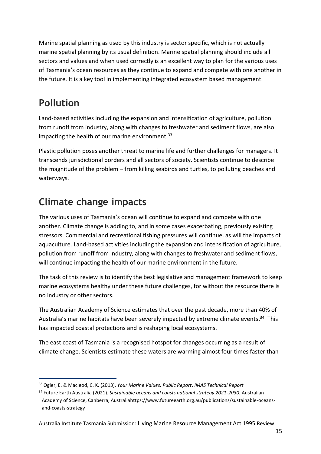Marine spatial planning as used by this industry is sector specific, which is not actually marine spatial planning by its usual definition. Marine spatial planning should include all sectors and values and when used correctly is an excellent way to plan for the various uses of Tasmania's ocean resources as they continue to expand and compete with one another in the future. It is a key tool in implementing integrated ecosystem based management.

### <span id="page-14-0"></span>**Pollution**

Land-based activities including the expansion and intensification of agriculture, pollution from runoff from industry, along with changes to freshwater and sediment flows, are also impacting the health of our marine environment.<sup>33</sup>

Plastic pollution poses another threat to marine life and further challenges for managers. It transcends jurisdictional borders and all sectors of society. Scientists continue to describe the magnitude of the problem – from killing seabirds and turtles, to polluting beaches and waterways.

### <span id="page-14-1"></span>**Climate change impacts**

The various uses of Tasmania's ocean will continue to expand and compete with one another. Climate change is adding to, and in some cases exacerbating, previously existing stressors. Commercial and recreational fishing pressures will continue, as will the impacts of aquaculture. Land-based activities including the expansion and intensification of agriculture, pollution from runoff from industry, along with changes to freshwater and sediment flows, will continue impacting the health of our marine environment in the future.

The task of this review is to identify the best legislative and management framework to keep marine ecosystems healthy under these future challenges, for without the resource there is no industry or other sectors.

The Australian Academy of Science estimates that over the past decade, more than 40% of Australia's marine habitats have been severely impacted by extreme climate events.<sup>34</sup> This has impacted coastal protections and is reshaping local ecosystems.

The east coast of Tasmania is a recognised hotspot for changes occurring as a result of climate change. Scientists estimate these waters are warming almost four times faster than

<sup>33</sup> Ogier, E. & Macleod, C. K. (2013). *Your Marine Values: Public Report*. *IMAS Technical Report*

<sup>&</sup>lt;sup>34</sup> Future Earth Australia (2021). *Sustainable oceans and coasts national strategy 2021-2030.* Australian Academy of Science, Canberra, Australiahttps://www.futureearth.org.au/publications/sustainable-oceansand-coasts-strategy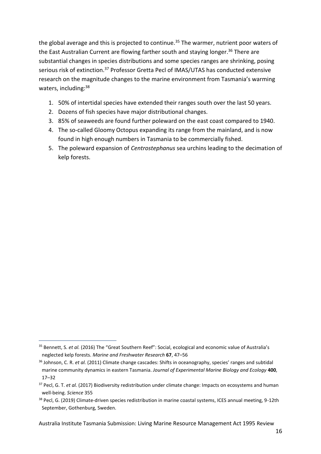the global average and this is projected to continue.<sup>35</sup> The warmer, nutrient poor waters of the East Australian Current are flowing farther south and staying longer.<sup>36</sup> There are substantial changes in species distributions and some species ranges are shrinking, posing serious risk of extinction.<sup>37</sup> Professor Gretta Pecl of IMAS/UTAS has conducted extensive research on the magnitude changes to the marine environment from Tasmania's warming waters, including:<sup>38</sup>

- 1. 50% of intertidal species have extended their ranges south over the last 50 years.
- 2. Dozens of fish species have major distributional changes.
- 3. 85% of seaweeds are found further poleward on the east coast compared to 1940.
- 4. The so-called Gloomy Octopus expanding its range from the mainland, and is now found in high enough numbers in Tasmania to be commercially fished.
- 5. The poleward expansion of *Centrostephanus* sea urchins leading to the decimation of kelp forests.

<sup>35</sup> Bennett, S. *et al.* (2016) The "Great Southern Reef": Social, ecological and economic value of Australia's neglected kelp forests. *Marine and Freshwater Research* **67**, 47–56

<sup>36</sup> Johnson, C. R. *et al.* (2011) Climate change cascades: Shifts in oceanography, species' ranges and subtidal marine community dynamics in eastern Tasmania. *Journal of Experimental Marine Biology and Ecology* **400**, 17–32

<sup>&</sup>lt;sup>37</sup> Pecl, G. T. *et al.* (2017) Biodiversity redistribution under climate change: Impacts on ecosystems and human well-being. *Science* 355

<sup>&</sup>lt;sup>38</sup> Pecl, G. (2019) Climate-driven species redistribution in marine coastal systems, ICES annual meeting, 9-12th September, Gothenburg, Sweden.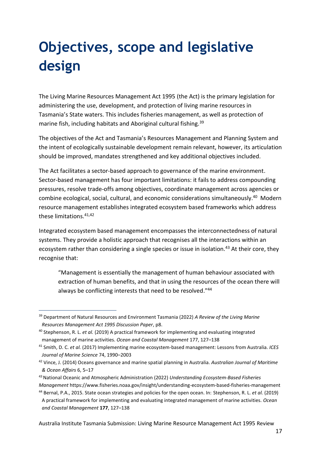## <span id="page-16-0"></span>**Objectives, scope and legislative design**

The Living Marine Resources Management Act 1995 (the Act) is the primary legislation for administering the use, development, and protection of living marine resources in Tasmania's State waters. This includes fisheries management, as well as protection of marine fish, including habitats and Aboriginal cultural fishing.<sup>39</sup>

The objectives of the Act and Tasmania's Resources Management and Planning System and the intent of ecologically sustainable development remain relevant, however, its articulation should be improved, mandates strengthened and key additional objectives included.

The Act facilitates a sector-based approach to governance of the marine environment. Sector-based management has four important limitations: it fails to address compounding pressures, resolve trade-offs among objectives, coordinate management across agencies or combine ecological, social, cultural, and economic considerations simultaneously.<sup>40</sup> Modern resource management establishes integrated ecosystem based frameworks which address these limitations  $41,42$ 

Integrated ecosystem based management encompasses the interconnectedness of natural systems. They provide a holistic approach that recognises all the interactions within an ecosystem rather than considering a single species or issue in isolation.<sup>43</sup> At their core, they recognise that:

"Management is essentially the management of human behaviour associated with extraction of human benefits, and that in using the resources of the ocean there will always be conflicting interests that need to be resolved."44

<sup>39</sup> Department of Natural Resources and Environment Tasmania (2022) *A Review of the Living Marine Resources Management Act 1995 Discussion Paper*, p8.

<sup>40</sup> Stephenson, R. L. *et al.* (2019) A practical framework for implementing and evaluating integrated management of marine activities. *Ocean and Coastal Management* 177, 127–138

<sup>41</sup> Smith, D. C. *et al.* (2017) Implementing marine ecosystem-based management: Lessons from Australia. *ICES Journal of Marine Science* 74, 1990–2003

<sup>42</sup> Vince, J. (2014) Oceans governance and marine spatial planning in Australia. *Australian Journal of Maritime & Ocean Affairs* 6, 5–17

<sup>43</sup>[National Oceanic and Atmospheric Administration](https://www.noaa.gov/) (2022) *Understanding Ecosystem-Based Fisheries Management* https://www.fisheries.noaa.gov/insight/understanding-ecosystem-based-fisheries-management

<sup>44</sup> Bernal, P.A., 2015. State ocean strategies and policies for the open ocean. In: Stephenson, R. L. *et al.* (2019) A practical framework for implementing and evaluating integrated management of marine activities. *Ocean and Coastal Management* **177**, 127–138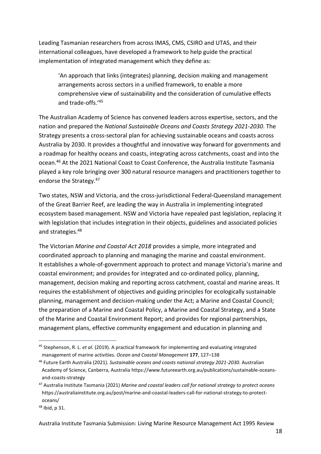Leading Tasmanian researchers from across IMAS, CMS, CSIRO and UTAS, and their international colleagues, have developed a framework to help guide the practical implementation of integrated management which they define as:

'An approach that links (integrates) planning, decision making and management arrangements across sectors in a unified framework, to enable a more comprehensive view of sustainability and the consideration of cumulative effects and trade-offs.'<sup>45</sup>

The Australian Academy of Science has convened leaders across expertise, sectors, and the nation and prepared the *National Sustainable Oceans and Coasts Strategy 2021-2030*. The Strategy presents a cross-sectoral plan for achieving sustainable oceans and coasts across Australia by 2030. It provides a thoughtful and innovative way forward for governments and a roadmap for healthy oceans and coasts, integrating across catchments, coast and into the ocean.<sup>46</sup> At the 2021 National Coast to Coast Conference, the Australia Institute Tasmania played a key role bringing over 300 natural resource managers and practitioners together to endorse the Strategy.<sup>47</sup>

Two states, NSW and Victoria, and the cross-jurisdictional Federal-Queensland management of the Great Barrier Reef, are leading the way in Australia in implementing integrated ecosystem based management. NSW and Victoria have repealed past legislation, replacing it with legislation that includes integration in their objects, guidelines and associated policies and strategies. 48

The Victorian *Marine and Coastal Act 2018* provides a simple, more integrated and coordinated approach to planning and managing the marine and coastal environment. It establishes a whole-of-government approach to protect and manage Victoria's marine and coastal environment; and provides for integrated and co-ordinated policy, planning, management, decision making and reporting across catchment, coastal and marine areas. It requires the establishment of objectives and guiding principles for ecologically sustainable planning, management and decision-making under the Act; a Marine and Coastal Council; the preparation of a Marine and Coastal Policy, a Marine and Coastal Strategy, and a State of the Marine and Coastal Environment Report; and provides for regional partnerships, management plans, effective community engagement and education in planning and

<sup>45</sup> Stephenson, R. L. *et al.* (2019). A practical framework for implementing and evaluating integrated management of marine activities. *Ocean and Coastal Management* **177**, 127–138

<sup>46</sup> Future Earth Australia (2021). *Sustainable oceans and coasts national strategy 2021-2030.* Australian Academy of Science, Canberra, Australia https://www.futureearth.org.au/publications/sustainable-oceansand-coasts-strategy

<sup>47</sup> Australia Institute Tasmania (2021) *Marine and coastal leaders call for national strategy to protect oceans*  https://australiainstitute.org.au/post/marine-and-coastal-leaders-call-for-national-strategy-to-protectoceans/

<sup>48</sup> Ibid, p 31.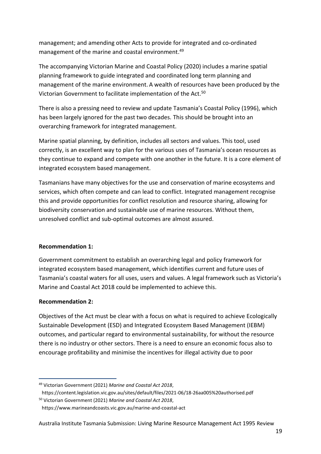management; and amending other Acts to provide for integrated and co-ordinated management of the marine and coastal environment. 49

The accompanying Victorian Marine and Coastal Policy (2020) includes a marine spatial planning framework to guide integrated and coordinated long term planning and management of the marine environment. A wealth of resources have been produced by the Victorian Government to facilitate implementation of the Act.<sup>50</sup>

There is also a pressing need to review and update Tasmania's Coastal Policy (1996), which has been largely ignored for the past two decades. This should be brought into an overarching framework for integrated management.

Marine spatial planning, by definition, includes all sectors and values. This tool, used correctly, is an excellent way to plan for the various uses of Tasmania's ocean resources as they continue to expand and compete with one another in the future. It is a core element of integrated ecosystem based management.

Tasmanians have many objectives for the use and conservation of marine ecosystems and services, which often compete and can lead to conflict. Integrated management recognise this and provide opportunities for conflict resolution and resource sharing, allowing for biodiversity conservation and sustainable use of marine resources. Without them, unresolved conflict and sub-optimal outcomes are almost assured.

#### **Recommendation 1:**

Government commitment to establish an overarching legal and policy framework for integrated ecosystem based management, which identifies current and future uses of Tasmania's coastal waters for all uses, users and values. A legal framework such as Victoria's Marine and Coastal Act 2018 could be implemented to achieve this.

#### **Recommendation 2:**

Objectives of the Act must be clear with a focus on what is required to achieve Ecologically Sustainable Development (ESD) and Integrated Ecosystem Based Management (IEBM) outcomes, and particular regard to environmental sustainability, for without the resource there is no industry or other sectors. There is a need to ensure an economic focus also to encourage profitability and minimise the incentives for illegal activity due to poor

<sup>49</sup> Victorian Government (2021) *Marine and Coastal Act 2018*,

https://content.legislation.vic.gov.au/sites/default/files/2021-06/18-26aa005%20authorised.pdf <sup>50</sup> Victorian Government (2021) *Marine and Coastal Act 2018*,

https://www.marineandcoasts.vic.gov.au/marine-and-coastal-act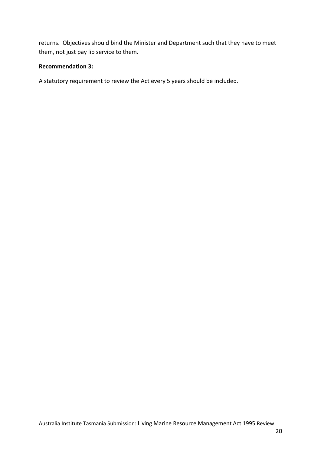returns. Objectives should bind the Minister and Department such that they have to meet them, not just pay lip service to them.

#### **Recommendation 3:**

A statutory requirement to review the Act every 5 years should be included.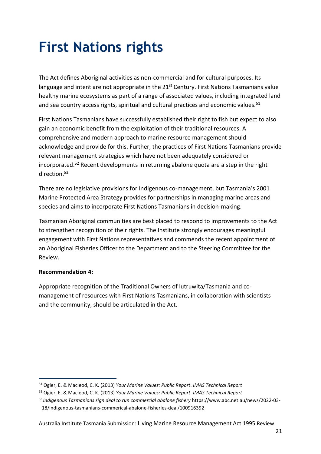## <span id="page-20-0"></span>**First Nations rights**

The Act defines Aboriginal activities as non-commercial and for cultural purposes. Its language and intent are not appropriate in the 21<sup>st</sup> Century. First Nations Tasmanians value healthy marine ecosystems as part of a range of associated values, including integrated land and sea country access rights, spiritual and cultural practices and economic values.<sup>51</sup>

First Nations Tasmanians have successfully established their right to fish but expect to also gain an economic benefit from the exploitation of their traditional resources. A comprehensive and modern approach to marine resource management should acknowledge and provide for this. Further, the practices of First Nations Tasmanians provide relevant management strategies which have not been adequately considered or incorporated.<sup>52</sup> Recent developments in returning abalone quota are a step in the right direction.<sup>53</sup>

There are no legislative provisions for Indigenous co-management, but Tasmania's 2001 Marine Protected Area Strategy provides for partnerships in managing marine areas and species and aims to incorporate First Nations Tasmanians in decision-making.

Tasmanian Aboriginal communities are best placed to respond to improvements to the Act to strengthen recognition of their rights. The Institute strongly encourages meaningful engagement with First Nations representatives and commends the recent appointment of an Aboriginal Fisheries Officer to the Department and to the Steering Committee for the Review.

#### **Recommendation 4:**

Appropriate recognition of the Traditional Owners of lutruwita/Tasmania and comanagement of resources with First Nations Tasmanians, in collaboration with scientists and the community, should be articulated in the Act.

<sup>51</sup> Ogier, E. & Macleod, C. K. (2013) *Your Marine Values: Public Report*. *IMAS Technical Report*

<sup>52</sup> Ogier, E. & Macleod, C. K. (2013) *Your Marine Values: Public Report*. *IMAS Technical Report*

<sup>53</sup> *Indigenous Tasmanians sign deal to run commercial abalone fishery* https://www.abc.net.au/news/2022-03- 18/indigenous-tasmanians-commerical-abalone-fisheries-deal/100916392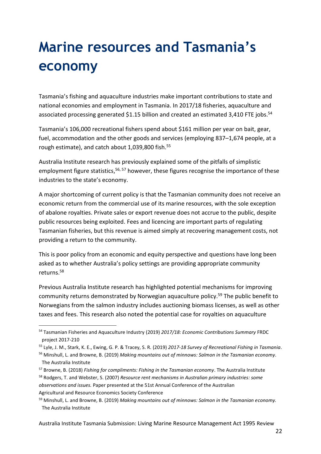## <span id="page-21-0"></span>**Marine resources and Tasmania's economy**

Tasmania's fishing and aquaculture industries make important contributions to state and national economies and employment in Tasmania. In 2017/18 fisheries, aquaculture and associated processing generated \$1.15 billion and created an estimated 3,410 FTE jobs.<sup>54</sup>

Tasmania's 106,000 recreational fishers spend about \$161 million per year on bait, gear, fuel, accommodation and the other goods and services (employing 837–1,674 people, at a rough estimate), and catch about 1,039,800 fish.<sup>55</sup>

Australia Institute research has previously explained some of the pitfalls of simplistic employment figure statistics,<sup>56, 57</sup> however, these figures recognise the importance of these industries to the state's economy.

A major shortcoming of current policy is that the Tasmanian community does not receive an economic return from the commercial use of its marine resources, with the sole exception of abalone royalties. Private sales or export revenue does not accrue to the public, despite public resources being exploited. Fees and licencing are important parts of regulating Tasmanian fisheries, but this revenue is aimed simply at recovering management costs, not providing a return to the community.

This is poor policy from an economic and equity perspective and questions have long been asked as to whether Australia's policy settings are providing appropriate community returns. 58

Previous Australia Institute research has highlighted potential mechanisms for improving community returns demonstrated by Norwegian aquaculture policy. <sup>59</sup> The public benefit to Norwegians from the salmon industry includes auctioning biomass licenses, as well as other taxes and fees. This research also noted the potential case for royalties on aquaculture

<sup>54</sup> Tasmanian Fisheries and Aquaculture Industry (2019) *2017/18: Economic Contributions Summary* FRDC project 2017-210

<sup>55</sup> Lyle, J. M., Stark, K. E., Ewing, G. P. & Tracey, S. R. (2019) *2017-18 Survey of Recreational Fishing in Tasmania*.

<sup>56</sup> Minshull, L. and Browne, B. (2019) *Making mountains out of minnows: Salmon in the Tasmanian economy*. The Australia Institute

<sup>57</sup> Browne, B. (2018) *Fishing for compliments: Fishing in the Tasmanian economy*. The Australia Institute <sup>58</sup> Rodgers, T. and Webster, S. (2007) *Resource rent mechanisms in Australian primary industries: some observations and issues.* Paper presented at the 51st Annual Conference of the Australian Agricultural and Resource Economics Society Conference

<sup>59</sup> Minshull, L. and Browne, B. (2019) *Making mountains out of minnows: Salmon in the Tasmanian economy.* The Australia Institute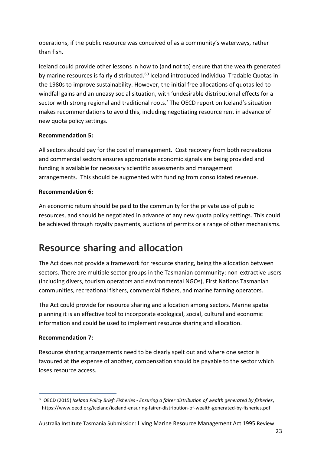operations, if the public resource was conceived of as a community's waterways, rather than fish.

Iceland could provide other lessons in how to (and not to) ensure that the wealth generated by marine resources is fairly distributed.<sup>60</sup> Iceland introduced Individual Tradable Quotas in the 1980s to improve sustainability. However, the initial free allocations of quotas led to windfall gains and an uneasy social situation, with 'undesirable distributional effects for a sector with strong regional and traditional roots.' The OECD report on Iceland's situation makes recommendations to avoid this, including negotiating resource rent in advance of new quota policy settings.

#### **Recommendation 5:**

All sectors should pay for the cost of management. Cost recovery from both recreational and commercial sectors ensures appropriate economic signals are being provided and funding is available for necessary scientific assessments and management arrangements. This should be augmented with funding from consolidated revenue.

#### **Recommendation 6:**

An economic return should be paid to the community for the private use of public resources, and should be negotiated in advance of any new quota policy settings. This could be achieved through royalty payments, auctions of permits or a range of other mechanisms.

### <span id="page-22-0"></span>**Resource sharing and allocation**

The Act does not provide a framework for resource sharing, being the allocation between sectors. There are multiple sector groups in the Tasmanian community: non-extractive users (including divers, tourism operators and environmental NGOs), First Nations Tasmanian communities, recreational fishers, commercial fishers, and marine farming operators.

The Act could provide for resource sharing and allocation among sectors. Marine spatial planning it is an effective tool to incorporate ecological, social, cultural and economic information and could be used to implement resource sharing and allocation.

#### **Recommendation 7:**

Resource sharing arrangements need to be clearly spelt out and where one sector is favoured at the expense of another, compensation should be payable to the sector which loses resource access.

<sup>60</sup> OECD (2015) *Iceland Policy Brief: Fisheries - Ensuring a fairer distribution of wealth generated by fisheries*, <https://www.oecd.org/iceland/iceland-ensuring-fairer-distribution-of-wealth-generated-by-fisheries.pdf>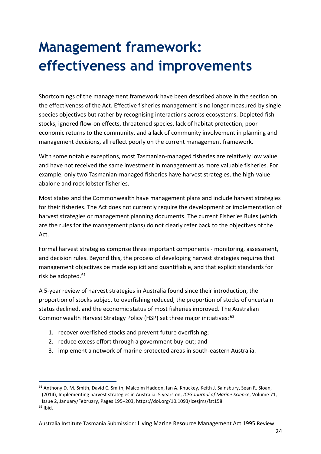## <span id="page-23-0"></span>**Management framework: effectiveness and improvements**

Shortcomings of the management framework have been described above in the section on the effectiveness of the Act. Effective fisheries management is no longer measured by single species objectives but rather by recognising interactions across ecosystems. Depleted fish stocks, ignored flow-on effects, threatened species, lack of habitat protection, poor economic returns to the community, and a lack of community involvement in planning and management decisions, all reflect poorly on the current management framework.

With some notable exceptions, most Tasmanian-managed fisheries are relatively low value and have not received the same investment in management as more valuable fisheries. For example, only two Tasmanian-managed fisheries have harvest strategies, the high-value abalone and rock lobster fisheries.

Most states and the Commonwealth have management plans and include harvest strategies for their fisheries. The Act does not currently require the development or implementation of harvest strategies or management planning documents. The current Fisheries Rules (which are the rules for the management plans) do not clearly refer back to the objectives of the Act.

Formal harvest strategies comprise three important components - monitoring, assessment, and decision rules. Beyond this, the process of developing harvest strategies requires that management objectives be made explicit and quantifiable, and that explicit standards for risk be adopted.<sup>61</sup>

A 5-year review of harvest strategies in Australia found since their introduction, the proportion of stocks subject to overfishing reduced, the proportion of stocks of uncertain status declined, and the economic status of most fisheries improved. The Australian Commonwealth Harvest Strategy Policy (HSP) set three major initiatives: <sup>62</sup>

- 1. recover overfished stocks and prevent future overfishing;
- 2. reduce excess effort through a government buy-out; and
- 3. implement a network of marine protected areas in south-eastern Australia.

<sup>&</sup>lt;sup>61</sup> Anthony D. M. Smith, David C. Smith, Malcolm Haddon, Ian A. Knuckey, Keith J. Sainsbury, Sean R. Sloan, (2014), Implementing harvest strategies in Australia: 5 years on, *ICES Journal of Marine Science*, Volume 71,

Issue 2, January/February, Pages 195–203, <https://doi.org/10.1093/icesjms/fst158>

 $62$  Ibid.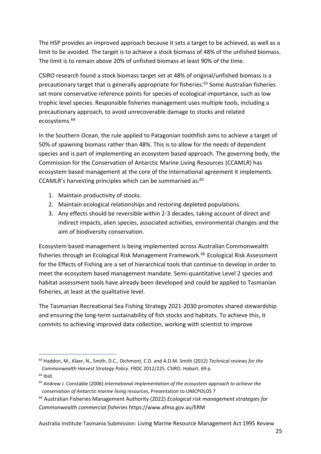The HSP provides an improved approach because it sets a target to be achieved, as well as a limit to be avoided. The target is to achieve a stock biomass of 48% of the unfished biomass. The limit is to remain above 20% of unfished biomass at least 90% of the time.

CSIRO research found a stock biomass target set at 48% of original/unfished biomass is a precautionary target that is generally appropriate for fisheries. <sup>63</sup> Some Australian fisheries set more conservative reference points for species of ecological importance, such as low trophic level species. Responsible fisheries management uses multiple tools, including a precautionary approach, to avoid unrecoverable damage to stocks and related ecosystems.<sup>64</sup>

In the Southern Ocean, the rule applied to Patagonian toothfish aims to achieve a target of 50% of spawning biomass rather than 48%. This is to allow for the needs of dependent species and is part of implementing an ecosystem based approach. The governing body, the Commission for the Conservation of Antarctic Marine Living Resources (CCAMLR) has ecosystem based management at the core of the international agreement it implements. CCAMLR's harvesting principles which can be summarised as:<sup>65</sup>

- 1. Maintain productivity of stocks.
- 2. Maintain ecological relationships and restoring depleted populations.
- 3. Any effects should be reversible within 2-3 decades, taking account of direct and indirect impacts, alien species, associated activities, environmental changes and the aim of biodiversity conservation.

Ecosystem based management is being implemented across Australian Commonwealth fisheries through an Ecological Risk Management Framework.<sup>66</sup> Ecological Risk Assessment for the Effects of Fishing are a set of hierarchical tools that continue to develop in order to meet the ecosystem based management mandate. Semi-quantitative Level 2 species and habitat assessment tools have already been developed and could be applied to Tasmanian fisheries, at least at the qualitative level.

The Tasmanian Recreational Sea Fishing Strategy 2021-2030 promotes shared stewardship and ensuring the long-term sustainability of fish stocks and habitats. To achieve this, it commits to achieving improved data collection, working with scientist to improve

<sup>63</sup> Haddon, M., Klaer, N., Smith, D.C., Dichmont, C.D. and A.D.M. Smith (2012) *Technical reviews for the Commonwealth Harvest Strategy Policy*. FRDC 2012/225. CSIRO. Hobart. 69 p.  $64$  Ibid.

<sup>65</sup> Andrew J. Constable (2006) *International implementation of the ecosystem approach to achieve the conservation of Antarctic marine living resources*, Presentation to UNICPOLOS 7

<sup>66</sup> Australian Fisheries Management Authority (2022) *Ecological risk management strategies for Commonwealth commercial fisheries* <https://www.afma.gov.au/ERM>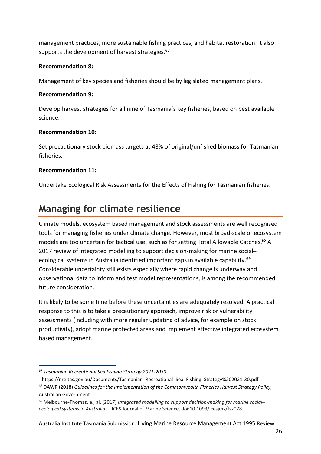management practices, more sustainable fishing practices, and habitat restoration. It also supports the development of harvest strategies.<sup>67</sup>

#### **Recommendation 8:**

Management of key species and fisheries should be by legislated management plans.

#### **Recommendation 9:**

Develop harvest strategies for all nine of Tasmania's key fisheries, based on best available science.

#### **Recommendation 10:**

Set precautionary stock biomass targets at 48% of original/unfished biomass for Tasmanian fisheries.

#### **Recommendation 11:**

Undertake Ecological Risk Assessments for the Effects of Fishing for Tasmanian fisheries.

### <span id="page-25-0"></span>**Managing for climate resilience**

Climate models, ecosystem based management and stock assessments are well recognised tools for managing fisheries under climate change. However, most broad-scale or ecosystem models are too uncertain for tactical use, such as for setting Total Allowable Catches. <sup>68</sup> A 2017 review of integrated modelling to support decision-making for marine social– ecological systems in Australia identified important gaps in available capability.<sup>69</sup> Considerable uncertainty still exists especially where rapid change is underway and observational data to inform and test model representations, is among the recommended future consideration.

It is likely to be some time before these uncertainties are adequately resolved. A practical response to this is to take a precautionary approach, improve risk or vulnerability assessments (including with more regular updating of advice, for example on stock productivity), adopt marine protected areas and implement effective integrated ecosystem based management.

<sup>67</sup> *Tasmanian Recreational Sea Fishing Strategy 2021-2030*

https://nre.tas.gov.au/Documents/Tasmanian\_Recreational\_Sea\_Fishing\_Strategy%202021-30.pdf <sup>68</sup> DAWR (2018) *Guidelines for the Implementation of the Commonwealth Fisheries Harvest Strategy Policy,*  Australian Government.

<sup>69</sup> Melbourne-Thomas, e., al. (2017) *Integrated modelling to support decision-making for marine social– ecological systems in Australia*. – ICES Journal of Marine Science, doi:10.1093/icesjms/fsx078.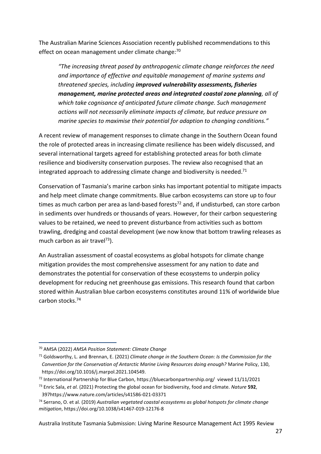The Australian Marine Sciences Association recently published recommendations to this effect on ocean management under climate change:<sup>70</sup>

*"The increasing threat posed by anthropogenic climate change reinforces the need and importance of effective and equitable management of marine systems and threatened species, including improved vulnerability assessments, fisheries management, marine protected areas and integrated coastal zone planning, all of which take cognisance of anticipated future climate change. Such management actions will not necessarily eliminate impacts of climate, but reduce pressure on marine species to maximise their potential for adaption to changing conditions."*

A recent review of management responses to climate change in the Southern Ocean found the role of protected areas in increasing climate resilience has been widely discussed, and several international targets agreed for establishing protected areas for both climate resilience and biodiversity conservation purposes. The review also recognised that an integrated approach to addressing climate change and biodiversity is needed.<sup>71</sup>

Conservation of Tasmania's marine carbon sinks has important potential to mitigate impacts and help meet climate change commitments. Blue carbon ecosystems can store up to four times as much carbon per area as land-based forests<sup>72</sup> and, if undisturbed, can store carbon in sediments over hundreds or thousands of years. However, for their carbon sequestering values to be retained, we need to prevent disturbance from activities such as bottom trawling, dredging and coastal development (we now know that bottom trawling releases as much carbon as air travel $^{73}$ ).

An Australian assessment of coastal ecosystems as global hotspots for climate change mitigation provides the most comprehensive assessment for any nation to date and demonstrates the potential for conservation of these ecosystems to underpin policy development for reducing net greenhouse gas emissions. This research found that carbon stored within Australian blue carbon ecosystems constitutes around 11% of worldwide blue carbon stocks.<sup>74</sup>

<sup>70</sup> AMSA (2022) *AMSA Position Statement: Climate Change*

<sup>71</sup> Goldsworthy, L. and Brennan, E. (2021) *Climate change in the Southern Ocean: Is the Commission for the Convention for the Conservation of Antarctic Marine Living Resources doing enough?* Marine Policy, 130, https://doi.org/10.1016/j.marpol.2021.104549.

<sup>72</sup> International Partnership for Blue Carbon,<https://bluecarbonpartnership.org/>viewed 11/11/2021

<sup>73</sup> Enric Sala, *et al.* (2021) Protecting the global ocean for biodiversity, food and climate. *Nature* **592**, 39[7https://www.nature.com/articles/s41586-021-03371](https://www.nature.com/articles/s41586-021-03371)

<sup>74</sup> Serrano, O. et al. (2019) *Australian vegetated coastal ecosystems as global hotspots for climate change mitigation*,<https://doi.org/10.1038/s41467-019-12176-8>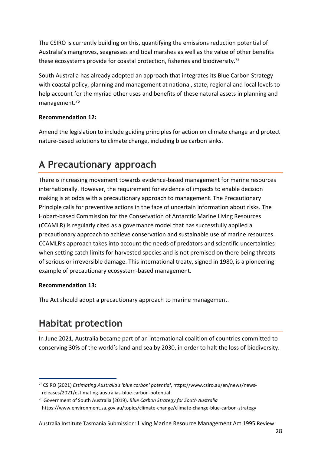The CSIRO is currently building on this, quantifying the emissions reduction potential of Australia's mangroves, seagrasses and tidal marshes as well as the value of other benefits these ecosystems provide for coastal protection, fisheries and biodiversity.<sup>75</sup>

South Australia has already adopted an approach that integrates its Blue Carbon Strategy with coastal policy, planning and management at national, state, regional and local levels to help account for the myriad other uses and benefits of these natural assets in planning and management.<sup>76</sup>

#### **Recommendation 12:**

Amend the legislation to include guiding principles for action on climate change and protect nature-based solutions to climate change, including blue carbon sinks.

### <span id="page-27-0"></span>**A Precautionary approach**

There is increasing movement towards evidence-based management for marine resources internationally. However, the requirement for evidence of impacts to enable decision making is at odds with a precautionary approach to management. The Precautionary Principle calls for preventive actions in the face of uncertain information about risks. The Hobart-based Commission for the Conservation of Antarctic Marine Living Resources (CCAMLR) is regularly cited as a governance model that has successfully applied a precautionary approach to achieve conservation and sustainable use of marine resources. CCAMLR's approach takes into account the needs of predators and scientific uncertainties when setting catch limits for harvested species and is not premised on there being threats of serious or irreversible damage. This international treaty, signed in 1980, is a pioneering example of precautionary ecosystem-based management.

#### **Recommendation 13:**

The Act should adopt a precautionary approach to marine management.

### <span id="page-27-1"></span>**Habitat protection**

In June 2021, Australia became part of an international coalition of countries committed to conserving 30% of the world's land and sea by 2030, in order to halt the loss of biodiversity.

<sup>75</sup> CSIRO (2021) *Estimating Australia's 'blue carbon' potential*[, https://www.csiro.au/en/news/news](https://www.csiro.au/en/news/news-releases/2021/estimating-australias-blue-carbon-potential)[releases/2021/estimating-australias-blue-carbon-potential](https://www.csiro.au/en/news/news-releases/2021/estimating-australias-blue-carbon-potential)

<sup>76</sup> Government of South Australia (2019). *Blue Carbon Strategy for South Australia* <https://www.environment.sa.gov.au/topics/climate-change/climate-change-blue-carbon-strategy>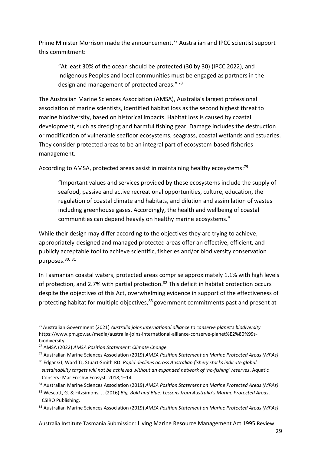Prime Minister Morrison made the announcement. <sup>77</sup> Australian and IPCC scientist support this commitment:

"At least 30% of the ocean should be protected (30 by 30) (IPCC 2022), and Indigenous Peoples and local communities must be engaged as partners in the design and management of protected areas." <sup>78</sup>

The Australian Marine Sciences Association (AMSA), Australia's largest professional association of marine scientists, identified habitat loss as the second highest threat to marine biodiversity, based on historical impacts. Habitat loss is caused by coastal development, such as dredging and harmful fishing gear. Damage includes the destruction or modification of vulnerable seafloor ecosystems, seagrass, coastal wetlands and estuaries. They consider protected areas to be an integral part of ecosystem-based fisheries management.

According to AMSA, protected areas assist in maintaining healthy ecosystems:<sup>79</sup>

"Important values and services provided by these ecosystems include the supply of seafood, passive and active recreational opportunities, culture, education, the regulation of coastal climate and habitats, and dilution and assimilation of wastes including greenhouse gases. Accordingly, the health and wellbeing of coastal communities can depend heavily on healthy marine ecosystems."

While their design may differ according to the objectives they are trying to achieve, appropriately‐designed and managed protected areas offer an effective, efficient, and publicly acceptable tool to achieve scientific, fisheries and/or biodiversity conservation purposes.<sup>80, 81</sup>

In Tasmanian coastal waters, protected areas comprise approximately 1.1% with high levels of protection, and 2.7% with partial protection.<sup>82</sup> This deficit in habitat protection occurs despite the objectives of this Act, overwhelming evidence in support of the effectiveness of protecting habitat for multiple objectives,<sup>83</sup> government commitments past and present at

<sup>77</sup>Australian Government (2021) *Australia joins international alliance to conserve planet's biodiversity*  [https://www.pm.gov.au/media/australia-joins-international-alliance-conserve-planet%E2%80%99s](https://www.pm.gov.au/media/australia-joins-international-alliance-conserve-planet%E2%80%99s-biodiversity)[biodiversity](https://www.pm.gov.au/media/australia-joins-international-alliance-conserve-planet%E2%80%99s-biodiversity)

<sup>78</sup> AMSA (2022) *AMSA Position Statement: Climate Change*

<sup>79</sup> Australian Marine Sciences Association (2019) *AMSA Position Statement on Marine Protected Areas (MPAs)*

<sup>80</sup> Edgar GJ, Ward TJ, Stuart‐Smith RD. *Rapid declines across Australian fishery stocks indicate global sustainability targets will not be achieved without an expanded network of 'no‐fishing' reserves*. Aquatic Conserv: Mar Freshw Ecosyst. 2018;1–14.

<sup>81</sup> Australian Marine Sciences Association (2019) *AMSA Position Statement on Marine Protected Areas (MPAs)*

<sup>82</sup> Wescott, G. & Fitzsimons, J. (2016) *Big, Bold and Blue: Lessons from Australia's Marine Protected Areas*. CSIRO Publishing.

<sup>83</sup> Australian Marine Sciences Association (2019) *AMSA Position Statement on Marine Protected Areas (MPAs)*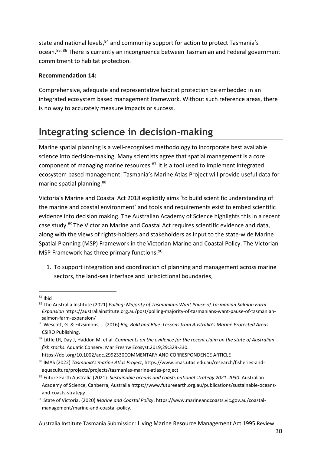state and national levels,<sup>84</sup> and community support for action to protect Tasmania's ocean.85, 86 There is currently an incongruence between Tasmanian and Federal government commitment to habitat protection.

#### **Recommendation 14:**

Comprehensive, adequate and representative habitat protection be embedded in an integrated ecosystem based management framework. Without such reference areas, there is no way to accurately measure impacts or success.

### <span id="page-29-0"></span>**Integrating science in decision-making**

Marine spatial planning is a well-recognised methodology to incorporate best available science into decision-making. Many scientists agree that spatial management is a core component of managing marine resources.<sup>87</sup> It is a tool used to implement integrated ecosystem based management. Tasmania's Marine Atlas Project will provide useful data for marine spatial planning.<sup>88</sup>

Victoria's Marine and Coastal Act 2018 explicitly aims 'to build scientific understanding of the marine and coastal environment' and tools and requirements exist to embed scientific evidence into decision making. The Australian Academy of Science highlights this in a recent case study.<sup>89</sup> The Victorian Marine and Coastal Act requires scientific evidence and data, along with the views of rights-holders and stakeholders as input to the state-wide Marine Spatial Planning (MSP) Framework in the Victorian Marine and Coastal Policy. The Victorian MSP Framework has three primary functions:<sup>90</sup>

1. To support integration and coordination of planning and management across marine sectors, the land-sea interface and jurisdictional boundaries,

<sup>84</sup> Ibid

<sup>85</sup> The Australia Institute (2021) *Polling: Majority of Tasmanians Want Pause of Tasmanian Salmon Farm Expansion* https://australiainstitute.org.au/post/polling-majority-of-tasmanians-want-pause-of-tasmaniansalmon-farm-expansion/

<sup>86</sup> Wescott, G. & Fitzsimons, J. (2016) *Big, Bold and Blue: Lessons from Australia's Marine Protected Areas*. CSIRO Publishing.

<sup>87</sup> Little LR, Day J, Haddon M, et al. *Comments on the evidence for the recent claim on the state of Australian fish stocks*. Aquatic Conserv: Mar Freshw Ecosyst.2019;29:329-330.

https://doi.org/10.1002/aqc.2992330COMMENTARY AND CORRESPONDENCE ARTICLE

<sup>88</sup> IMAS (2022) *Tasmania's marine Atlas Project*, https://www.imas.utas.edu.au/research/fisheries-andaquaculture/projects/projects/tasmanias-marine-atlas-project

<sup>89</sup> Future Earth Australia (2021). *Sustainable oceans and coasts national strategy 2021-2030.* Australian Academy of Science, Canberra, Australia https://www.futureearth.org.au/publications/sustainable-oceansand-coasts-strategy

<sup>90</sup> State of Victoria. (2020) *Marine and Coastal Policy*. https://www.marineandcoasts.vic.gov.au/coastalmanagement/marine-and-coastal-policy.

Australia Institute Tasmania Submission: Living Marine Resource Management Act 1995 Review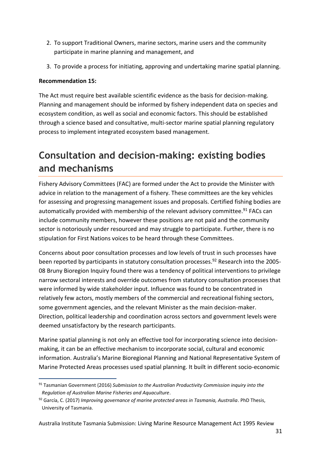- 2. To support Traditional Owners, marine sectors, marine users and the community participate in marine planning and management, and
- 3. To provide a process for initiating, approving and undertaking marine spatial planning.

#### **Recommendation 15:**

The Act must require best available scientific evidence as the basis for decision-making. Planning and management should be informed by fishery independent data on species and ecosystem condition, as well as social and economic factors. This should be established through a science based and consultative, multi-sector marine spatial planning regulatory process to implement integrated ecosystem based management.

### <span id="page-30-0"></span>**Consultation and decision-making: existing bodies and mechanisms**

Fishery Advisory Committees (FAC) are formed under the Act to provide the Minister with advice in relation to the management of a fishery. These committees are the key vehicles for assessing and progressing management issues and proposals. Certified fishing bodies are automatically provided with membership of the relevant advisory committee.<sup>91</sup> FACs can include community members, however these positions are not paid and the community sector is notoriously under resourced and may struggle to participate. Further, there is no stipulation for First Nations voices to be heard through these Committees.

Concerns about poor consultation processes and low levels of trust in such processes have been reported by participants in statutory consultation processes.<sup>92</sup> Research into the 2005-08 Bruny Bioregion Inquiry found there was a tendency of political interventions to privilege narrow sectoral interests and override outcomes from statutory consultation processes that were informed by wide stakeholder input. Influence was found to be concentrated in relatively few actors, mostly members of the commercial and recreational fishing sectors, some government agencies, and the relevant Minister as the main decision-maker. Direction, political leadership and coordination across sectors and government levels were deemed unsatisfactory by the research participants.

Marine spatial planning is not only an effective tool for incorporating science into decisionmaking, it can be an effective mechanism to incorporate social, cultural and economic information. Australia's Marine Bioregional Planning and National Representative System of Marine Protected Areas processes used spatial planning. It built in different socio-economic

<sup>91</sup> Tasmanian Government (2016) *Submission to the Australian Productivity Commission inquiry into the Regulation of Australian Marine Fisheries and Aquaculture*.

<sup>92</sup> García, C. (2017) *Improving governance of marine protected areas in Tasmania, Australia*. PhD Thesis, University of Tasmania.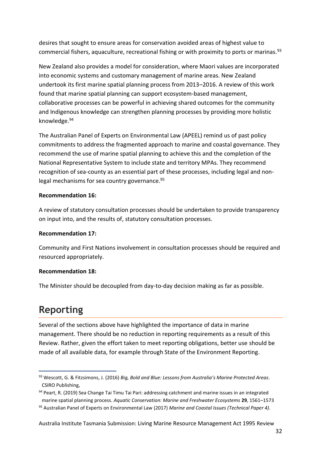desires that sought to ensure areas for conservation avoided areas of highest value to commercial fishers, aquaculture, recreational fishing or with proximity to ports or marinas.<sup>93</sup>

New Zealand also provides a model for consideration, where Maori values are incorporated into economic systems and customary management of marine areas. New Zealand undertook its first marine spatial planning process from 2013–2016. A review of this work found that marine spatial planning can support ecosystem‐based management, collaborative processes can be powerful in achieving shared outcomes for the community and Indigenous knowledge can strengthen planning processes by providing more holistic knowledge.<sup>94</sup>

The Australian Panel of Experts on Environmental Law (APEEL) remind us of past policy commitments to address the fragmented approach to marine and coastal governance. They recommend the use of marine spatial planning to achieve this and the completion of the National Representative System to include state and territory MPAs. They recommend recognition of sea-county as an essential part of these processes, including legal and nonlegal mechanisms for sea country governance.<sup>95</sup>

#### **Recommendation 16:**

A review of statutory consultation processes should be undertaken to provide transparency on input into, and the results of, statutory consultation processes.

#### **Recommendation 17:**

Community and First Nations involvement in consultation processes should be required and resourced appropriately.

#### **Recommendation 18:**

The Minister should be decoupled from day-to-day decision making as far as possible.

### <span id="page-31-0"></span>**Reporting**

Several of the sections above have highlighted the importance of data in marine management. There should be no reduction in reporting requirements as a result of this Review. Rather, given the effort taken to meet reporting obligations, better use should be made of all available data, for example through State of the Environment Reporting.

<sup>93</sup> Wescott, G. & Fitzsimons, J. (2016) *Big, Bold and Blue: Lessons from Australia's Marine Protected Areas*. CSIRO Publishing,

<sup>94</sup> Peart, R. (2019) Sea Change Tai Timu Tai Pari: addressing catchment and marine issues in an integrated marine spatial planning process. *Aquatic Conservation: Marine and Freshwater Ecosystems* **29**, 1561–1573

<sup>95</sup> Australian Panel of Experts on Environmental Law (2017) *Marine and Coastal Issues (Technical Paper 4)*.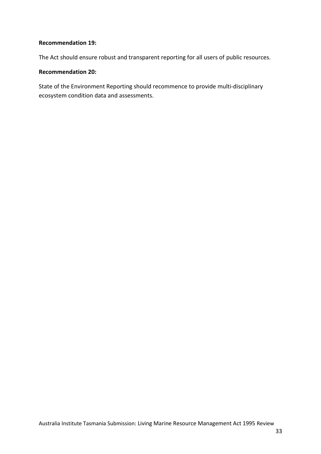#### **Recommendation 19:**

The Act should ensure robust and transparent reporting for all users of public resources.

#### **Recommendation 20:**

State of the Environment Reporting should recommence to provide multi-disciplinary ecosystem condition data and assessments.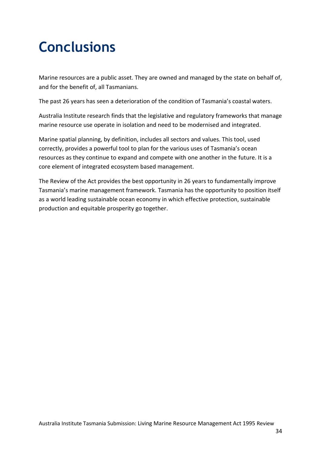## <span id="page-33-0"></span>**Conclusions**

Marine resources are a public asset. They are owned and managed by the state on behalf of, and for the benefit of, all Tasmanians.

The past 26 years has seen a deterioration of the condition of Tasmania's coastal waters.

Australia Institute research finds that the legislative and regulatory frameworks that manage marine resource use operate in isolation and need to be modernised and integrated.

Marine spatial planning, by definition, includes all sectors and values. This tool, used correctly, provides a powerful tool to plan for the various uses of Tasmania's ocean resources as they continue to expand and compete with one another in the future. It is a core element of integrated ecosystem based management.

The Review of the Act provides the best opportunity in 26 years to fundamentally improve Tasmania's marine management framework. Tasmania has the opportunity to position itself as a world leading sustainable ocean economy in which effective protection, sustainable production and equitable prosperity go together.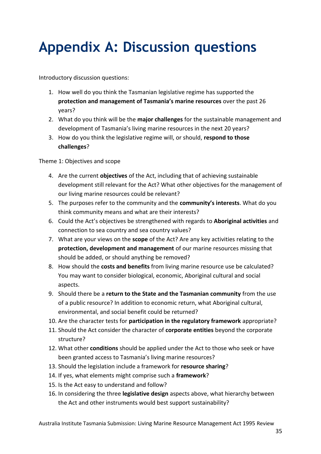## <span id="page-34-0"></span>**Appendix A: Discussion questions**

Introductory discussion questions:

- 1. How well do you think the Tasmanian legislative regime has supported the **protection and management of Tasmania's marine resources** over the past 26 years?
- 2. What do you think will be the **major challenges** for the sustainable management and development of Tasmania's living marine resources in the next 20 years?
- 3. How do you think the legislative regime will, or should, **respond to those challenges**?

Theme 1: Objectives and scope

- 4. Are the current **objectives** of the Act, including that of achieving sustainable development still relevant for the Act? What other objectives for the management of our living marine resources could be relevant?
- 5. The purposes refer to the community and the **community's interests**. What do you think community means and what are their interests?
- 6. Could the Act's objectives be strengthened with regards to **Aboriginal activities** and connection to sea country and sea country values?
- 7. What are your views on the **scope** of the Act? Are any key activities relating to the **protection, development and management** of our marine resources missing that should be added, or should anything be removed?
- 8. How should the **costs and benefits** from living marine resource use be calculated? You may want to consider biological, economic, Aboriginal cultural and social aspects.
- 9. Should there be a **return to the State and the Tasmanian community** from the use of a public resource? In addition to economic return, what Aboriginal cultural, environmental, and social benefit could be returned?
- 10. Are the character tests for **participation in the regulatory framework** appropriate?
- 11. Should the Act consider the character of **corporate entities** beyond the corporate structure?
- 12. What other **conditions** should be applied under the Act to those who seek or have been granted access to Tasmania's living marine resources?
- 13. Should the legislation include a framework for **resource sharing**?
- 14. If yes, what elements might comprise such a **framework**?
- 15. Is the Act easy to understand and follow?
- 16. In considering the three **legislative design** aspects above, what hierarchy between the Act and other instruments would best support sustainability?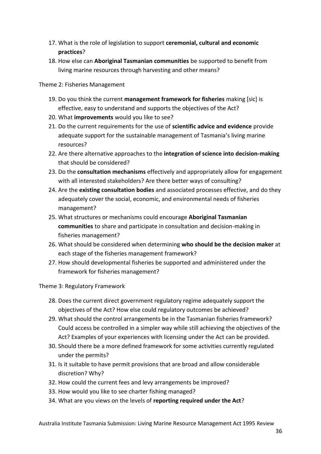- 17. What is the role of legislation to support **ceremonial, cultural and economic practices**?
- 18. How else can **Aboriginal Tasmanian communities** be supported to benefit from living marine resources through harvesting and other means?

#### Theme 2: Fisheries Management

- 19. Do you think the current **management framework for fisheries** making [sic] is effective, easy to understand and supports the objectives of the Act?
- 20. What **improvements** would you like to see?
- 21. Do the current requirements for the use of **scientific advice and evidence** provide adequate support for the sustainable management of Tasmania's living marine resources?
- 22. Are there alternative approaches to the **integration of science into decision-making** that should be considered?
- 23. Do the **consultation mechanisms** effectively and appropriately allow for engagement with all interested stakeholders? Are there better ways of consulting?
- 24. Are the **existing consultation bodies** and associated processes effective, and do they adequately cover the social, economic, and environmental needs of fisheries management?
- 25. What structures or mechanisms could encourage **Aboriginal Tasmanian communities** to share and participate in consultation and decision-making in fisheries management?
- 26. What should be considered when determining **who should be the decision maker** at each stage of the fisheries management framework?
- 27. How should developmental fisheries be supported and administered under the framework for fisheries management?

Theme 3: Regulatory Framework

- 28. Does the current direct government regulatory regime adequately support the objectives of the Act? How else could regulatory outcomes be achieved?
- 29. What should the control arrangements be in the Tasmanian fisheries framework? Could access be controlled in a simpler way while still achieving the objectives of the Act? Examples of your experiences with licensing under the Act can be provided.
- 30. Should there be a more defined framework for some activities currently regulated under the permits?
- 31. Is it suitable to have permit provisions that are broad and allow considerable discretion? Why?
- 32. How could the current fees and levy arrangements be improved?
- 33. How would you like to see charter fishing managed?
- 34. What are you views on the levels of **reporting required under the Act**?